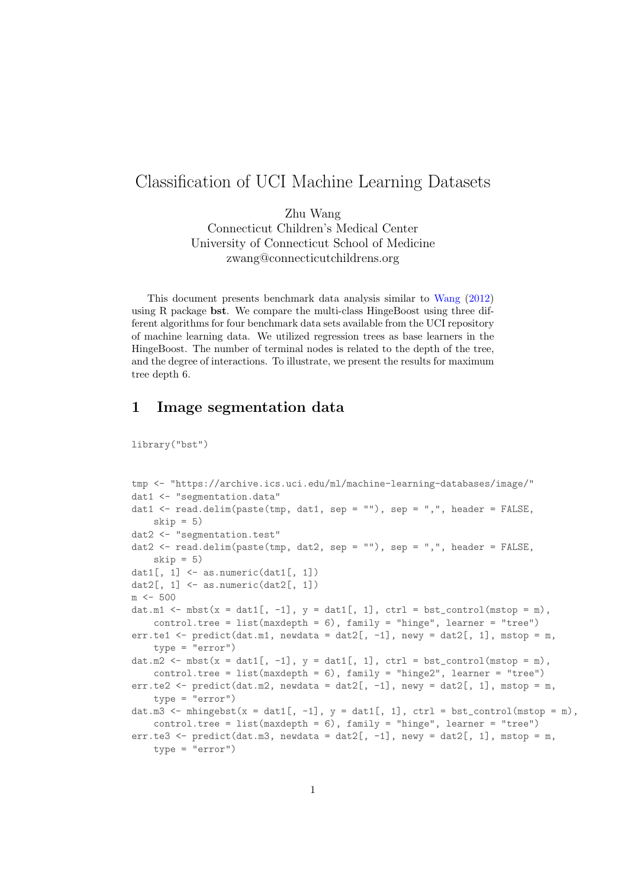# Classification of UCI Machine Learning Datasets

Zhu Wang Connecticut Children's Medical Center University of Connecticut School of Medicine zwang@connecticutchildrens.org

This document presents benchmark data analysis similar to [Wang](#page-3-0) [\(2012\)](#page-3-0) using R package bst. We compare the multi-class HingeBoost using three different algorithms for four benchmark data sets available from the UCI repository of machine learning data. We utilized regression trees as base learners in the HingeBoost. The number of terminal nodes is related to the depth of the tree, and the degree of interactions. To illustrate, we present the results for maximum tree depth 6.

#### 1 Image segmentation data

library("bst")

```
tmp <- "https://archive.ics.uci.edu/ml/machine-learning-databases/image/"
dat1 <- "segmentation.data"
dat1 \leq read.delim(paste(tmp, dat1, sep = ""), sep = ",", header = FALSE,
    skip = 5)dat2 <- "segmentation.test"
dat2 <- read.delim(paste(tmp, dat2, sep = ""), sep = ",", header = FALSE,
    skip = 5)dat1[, 1] \leftarrow as.numeric(dat1[, 1])
dat2[, 1] \leftarrow as.numeric(dat2[, 1])
m < -500dat.m1 <- mbst(x = dat1[, -1], y = dat1[, 1], ctrl = bst_control(mstop = m),
    control.tree = list(maxdepth = 6), family = "hinge", learner = "tree")
err.te1 <- predict(dat.m1, newdata = dat2[, -1], newy = dat2[, 1], mstop = m,
    type = "error")
dat.m2 <- mbst(x = dat1[, -1], y = dat1[, 1], ctrl = bst_control(mstop = m),
    control.tree = list(maxdepth = 6), family = "hinge2", learner = "tree")
err.te2 <- predict(dat.m2, newdata = dat2[, -1], newy = dat2[, 1], mstop = m,
    type = "error")
dat.m3 \leftarrow mhingebst(x = dat1[, -1], y = dat1[, 1], ctrl = bst_control(mstop = m),
    control.tree = list(maxdepth = 6), family = "hinge", learner = "tree")
err.te3 <- predict(dat.m3, newdata = dat2[, -1], newy = dat2[, 1], mstop = m,
    type = "error")
```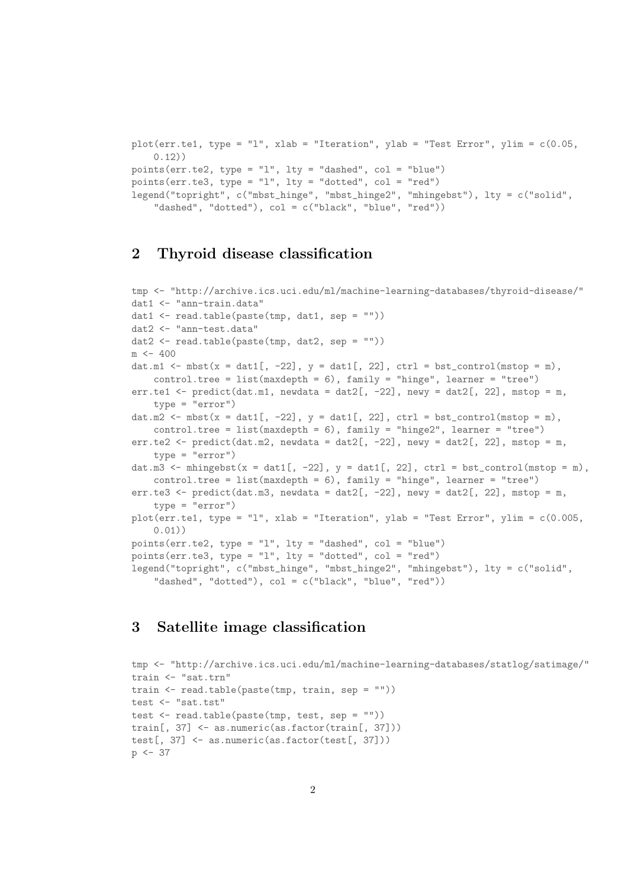```
plot(err.te1, type = "1", xlab = "Iteration", ylab = "Test Error", ylim = c(0.05,0.12))
points(err.te2, type = "l", lty = "dashed", col = "blue")points(err.te3, type = "l", lty = "dotted", col = "red")
legend("topright", c("mbst_hinge", "mbst_hinge2", "mhingebst"), lty = c("solid",
    "dashed", "dotted"), col = c("black", "blue", "red"))
```
## 2 Thyroid disease classification

```
tmp <- "http://archive.ics.uci.edu/ml/machine-learning-databases/thyroid-disease/"
dat1 <- "ann-train.data"
dat1 <- read.table(paste(tmp, dat1, sep = ""))
dat2 <- "ann-test.data"
dat2 <- read.table(paste(tmp, dat2, sep = ""))
m < -400dat.m1 \leq mbst(x = dat1[, -22], y = dat1[, 22], ctrl = bst_control(mstop = m),
   control.tree = list(maxdepth = 6), family = "hinge", learner = "tree")
err.te1 \le predict(dat.m1, newdata = dat2[, -22], newy = dat2[, 22], mstop = m,
   type = "error")
dat.m2 <- mbst(x = dat1[, -22], y = \text{dat1}[, 22], ctrl = bst_control(mstop = m),
   control.tree = list(maxdepth = 6), family = "hinge2", learner = "tree")err.te2 <- predict(dat.m2, newdata = dat2[, -22], newy = dat2[, 22], mstop = m,
    type = "error")
dat.m3 <- mhingebst(x = dat1[, -22], y = dat1[, 22], ctrl = bst_control(mstop = m),
   control.tree = list(maxdepth = 6), family = "hinge", learner = "tree")
err.te3 <- predict(dat.m3, newdata = dat2[, -22], newy = dat2[, 22], mstop = m,
   type = "error")
plot(err.te1, type = "l", xlab = "Iteration", ylab = "Test Error", ylim = c(0.005,
    0.01))
points(err.te2, type = "l", lty = "dashed", col = "blue")
points(err.te3, type = "l", lty = "dotted", col = "red")
legend("topright", c("mbst_hinge", "mbst_hinge2", "mhingebst"), lty = c("solid",
    "dashed", "dotted"), col = c("black", "blue", "red"))
```
#### 3 Satellite image classification

```
tmp <- "http://archive.ics.uci.edu/ml/machine-learning-databases/statlog/satimage/"
train <- "sat.trn"
train \leq read.table(paste(tmp, train, sep = ""))
test <- "sat.tst"
test <- read.table(paste(tmp, test, sep = ""))
train[, 37] <- as.numeric(as.factor(train[, 37]))
test[, 37] <- as.numeric(as.factor(test[, 37]))
p \le -37
```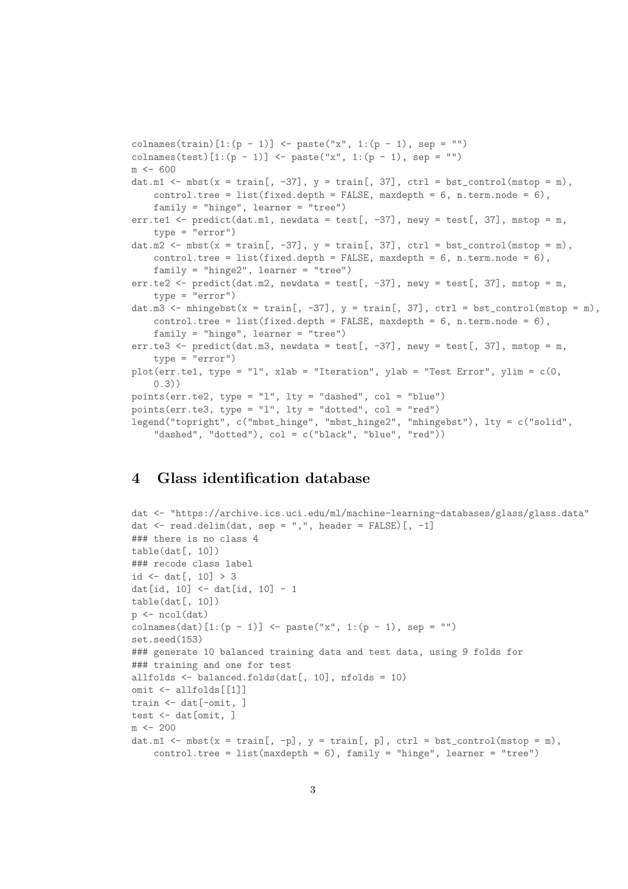```
colnames(train)[1:(p - 1)] <- paste("x", 1:(p - 1), sep = "")
colnames(test)[1:(p - 1)] <- paste("x", 1:(p - 1), sep = "")
m <- 600
dat.m1 \leq mbst(x = train[, -37], y = train[, 37], ctrl = bst_control(mstop = m),
    control-tree = list(fixed.depth = FALSE, maxdepth = 6, n.term.node = 6),
    family = "hinge", learner = "tree")
err.te1 <- predict(dat.m1, newdata = test[, -37], newy = test[, 37], mstop = m,
    type = "error")
dat.m2 \leq mbst(x = train[, -37], y = train[, 37], ctrl = bst_control(mstop = m),
    control.tree = list(fixed.depth = FALSE, maxdepth = 6, n.term.node = 6),
    family = "hinge2", learner = "tree")
err.te2 <- predict(dat.m2, newdata = test[, -37], newy = test[, 37], mstop = m,
    type = "error")
dat.m3 <- mhingebst(x = train[, -37], y = train[, 37], ctrl = bst_control(mstop = m),
    control.tree = list(fixed.depth = FALSE, maxdepth = 6, n.term node = 6),
    family = "hinge", learner = "tree")
err.te3 <- predict(dat.m3, newdata = test[, -37], newy = test[, 37], mstop = m,
    tvpe = "error")
plot(err.te1, type = "l", xlab = "Iteration", ylab = "Test Error", ylim = c(0,0.3))
points(err.te2, type = "l", lty = "dashed", col = "blue")
points(err.te3, type = "l", lty = "dotted", col = "red")
legend("topright", c("mbst_hinge", "mbst_hinge2", "mhingebst"), lty = c("solid",
    "dashed", "dotted"), col = c("black", "blue", "red"))
```
#### 4 Glass identification database

```
dat <- "https://archive.ics.uci.edu/ml/machine-learning-databases/glass/glass.data"
dat \leq read.delim(dat, sep = ",", header = FALSE)[, -1]
### there is no class 4
table(data[, 10])### recode class label
id \leftarrow dat[, 10] > 3
dat[id, 10] <- dat[id, 10] - 1
table(data[, 10])p \leftarrow \text{ncol}(dat)colnames(dat)[1:(p - 1)] <- paste("x", 1:(p - 1), sep = "")
set.seed(153)
### generate 10 balanced training data and test data, using 9 folds for
### training and one for test
allfolds \leq balanced.folds(dat[, 10], nfolds = 10)
omit <- allfolds[[1]]
train <- dat[-omit, ]
test <- dat[omit, ]
m < -200dat.m1 <- mbst(x = train[, -p], y = train[, p], ctrl = bst_control(mstop = m),
    control.tree = list(maxdepth = 6), family = "hinge", learner = "tree")
```